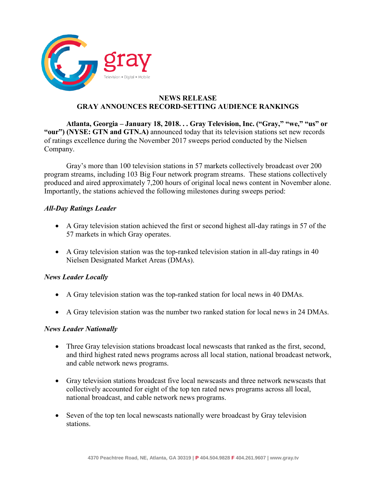

# **NEWS RELEASE GRAY ANNOUNCES RECORD-SETTING AUDIENCE RANKINGS**

**Atlanta, Georgia – January 18, 2018. . . Gray Television, Inc. ("Gray," "we," "us" or "our") (NYSE: GTN and GTN.A)** announced today that its television stations set new records of ratings excellence during the November 2017 sweeps period conducted by the Nielsen Company.

Gray's more than 100 television stations in 57 markets collectively broadcast over 200 program streams, including 103 Big Four network program streams. These stations collectively produced and aired approximately 7,200 hours of original local news content in November alone. Importantly, the stations achieved the following milestones during sweeps period:

# *All-Day Ratings Leader*

- A Gray television station achieved the first or second highest all-day ratings in 57 of the 57 markets in which Gray operates.
- A Gray television station was the top-ranked television station in all-day ratings in 40 Nielsen Designated Market Areas (DMAs).

# *News Leader Locally*

- A Gray television station was the top-ranked station for local news in 40 DMAs.
- A Gray television station was the number two ranked station for local news in 24 DMAs.

# *News Leader Nationally*

- Three Gray television stations broadcast local newscasts that ranked as the first, second, and third highest rated news programs across all local station, national broadcast network, and cable network news programs.
- Gray television stations broadcast five local newscasts and three network newscasts that collectively accounted for eight of the top ten rated news programs across all local, national broadcast, and cable network news programs.
- Seven of the top ten local newscasts nationally were broadcast by Gray television stations.